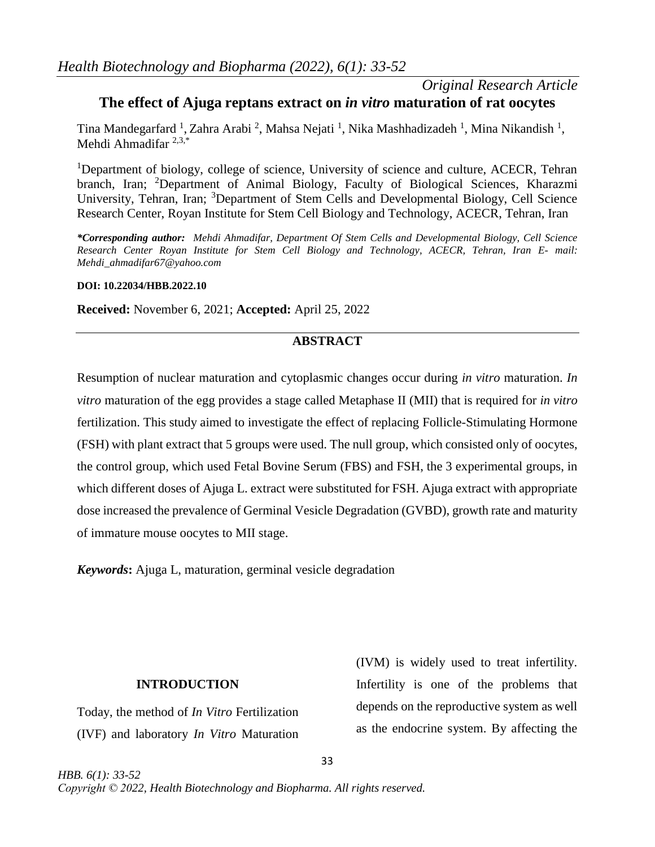### *Original Research Article* **The effect of Ajuga reptans extract on** *in vitro* **maturation of rat oocytes**

Tina Mandegarfard<sup>1</sup>, Zahra Arabi<sup>2</sup>, Mahsa Nejati<sup>1</sup>, Nika Mashhadizadeh<sup>1</sup>, Mina Nikandish<sup>1</sup>, Mehdi Ahmadifar 2,3,\*

<sup>1</sup>Department of biology, college of science, University of science and culture, ACECR, Tehran branch, Iran; <sup>2</sup>Department of Animal Biology, Faculty of Biological Sciences, Kharazmi University, Tehran, Iran; <sup>3</sup>Department of Stem Cells and Developmental Biology, Cell Science Research Center, Royan Institute for Stem Cell Biology and Technology, ACECR, Tehran, Iran

*\*Corresponding author: Mehdi Ahmadifar, Department Of Stem Cells and Developmental Biology, Cell Science Research Center Royan Institute for Stem Cell Biology and Technology, ACECR, Tehran, Iran E- mail: [Mehdi\\_ahmadifar67@yahoo.com](mailto:Mehdi_ahmadifar67@yahoo.com)*

### **DOI: 10.22034/HBB.2022.10**

**Received:** November 6, 2021; **Accepted:** April 25, 2022

### **ABSTRACT**

Resumption of nuclear maturation and cytoplasmic changes occur during *in vitro* maturation. *In vitro* maturation of the egg provides a stage called Metaphase II (MII) that is required for *in vitro* fertilization. This study aimed to investigate the effect of replacing Follicle-Stimulating Hormone (FSH) with plant extract that 5 groups were used. The null group, which consisted only of oocytes, the control group, which used Fetal Bovine Serum (FBS) and FSH, the 3 experimental groups, in which different doses of Ajuga L. extract were substituted for FSH. Ajuga extract with appropriate dose increased the prevalence of Germinal Vesicle Degradation (GVBD), growth rate and maturity of immature mouse oocytes to MII stage.

*Keywords***:** Ajuga L, maturation, germinal vesicle degradation

### **INTRODUCTION**

Today, the method of *In Vitro* Fertilization (IVF) and laboratory *In Vitro* Maturation

*HBB. 6(1): 33-52*

(IVM) is widely used to treat infertility. Infertility is one of the problems that depends on the reproductive system as well as the endocrine system. By affecting the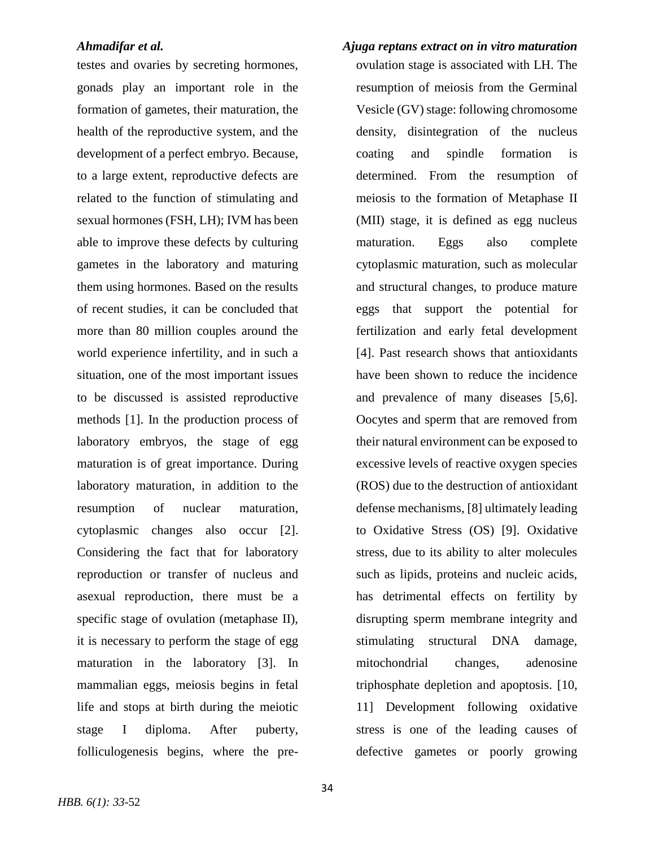testes and ovaries by secreting hormones, gonads play an important role in the formation of gametes, their maturation, the health of the reproductive system, and the development of a perfect embryo. Because, to a large extent, reproductive defects are related to the function of stimulating and sexual hormones (FSH, LH); IVM has been able to improve these defects by culturing gametes in the laboratory and maturing them using hormones. Based on the results of recent studies, it can be concluded that more than 80 million couples around the world experience infertility, and in such a situation, one of the most important issues to be discussed is assisted reproductive methods [1]. In the production process of laboratory embryos, the stage of egg maturation is of great importance. During laboratory maturation, in addition to the resumption of nuclear maturation, cytoplasmic changes also occur [2]. Considering the fact that for laboratory reproduction or transfer of nucleus and asexual reproduction, there must be a specific stage of ovulation (metaphase II), it is necessary to perform the stage of egg maturation in the laboratory [3]. In mammalian eggs, meiosis begins in fetal life and stops at birth during the meiotic stage I diploma. After puberty, folliculogenesis begins, where the preovulation stage is associated with LH. The resumption of meiosis from the Germinal Vesicle (GV) stage: following chromosome density, disintegration of the nucleus coating and spindle formation is determined. From the resumption of meiosis to the formation of Metaphase II (MII) stage, it is defined as egg nucleus maturation. Eggs also complete cytoplasmic maturation, such as molecular and structural changes, to produce mature eggs that support the potential for fertilization and early fetal development [4]. Past research shows that antioxidants have been shown to reduce the incidence and prevalence of many diseases [5,6]. Oocytes and sperm that are removed from their natural environment can be exposed to excessive levels of reactive oxygen species (ROS) due to the destruction of antioxidant defense mechanisms, [8] ultimately leading to Oxidative Stress (OS) [9]. Oxidative stress, due to its ability to alter molecules such as lipids, proteins and nucleic acids, has detrimental effects on fertility by disrupting sperm membrane integrity and stimulating structural DNA damage, mitochondrial changes, adenosine triphosphate depletion and apoptosis. [10, 11] Development following oxidative stress is one of the leading causes of defective gametes or poorly growing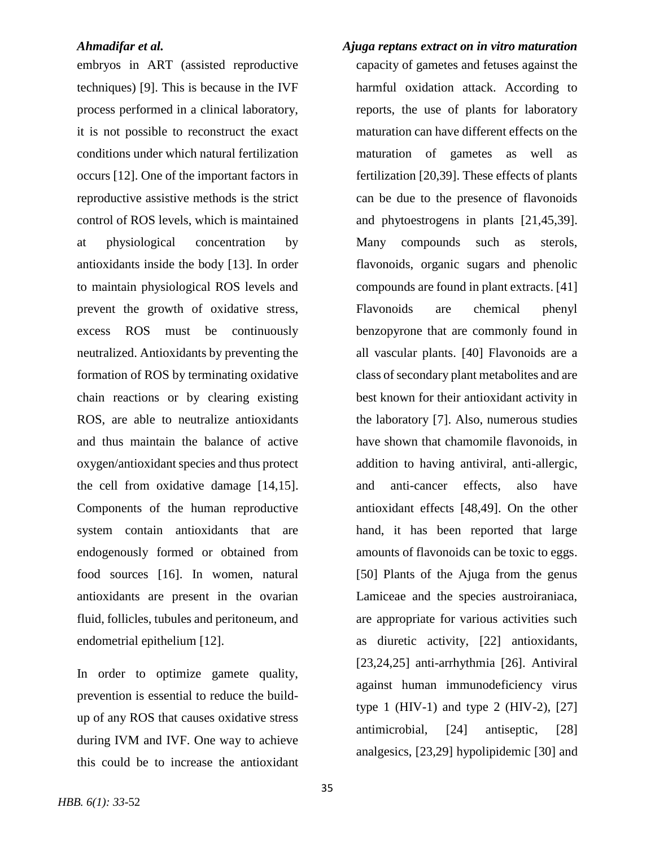embryos in ART (assisted reproductive techniques) [9]. This is because in the IVF process performed in a clinical laboratory, it is not possible to reconstruct the exact conditions under which natural fertilization occurs [12]. One of the important factors in reproductive assistive methods is the strict control of ROS levels, which is maintained at physiological concentration by antioxidants inside the body [13]. In order to maintain physiological ROS levels and prevent the growth of oxidative stress, excess ROS must be continuously neutralized. Antioxidants by preventing the formation of ROS by terminating oxidative chain reactions or by clearing existing ROS, are able to neutralize antioxidants and thus maintain the balance of active oxygen/antioxidant species and thus protect the cell from oxidative damage [14,15]. Components of the human reproductive system contain antioxidants that are endogenously formed or obtained from food sources [16]. In women, natural antioxidants are present in the ovarian fluid, follicles, tubules and peritoneum, and endometrial epithelium [12].

In order to optimize gamete quality, prevention is essential to reduce the buildup of any ROS that causes oxidative stress during IVM and IVF. One way to achieve this could be to increase the antioxidant

*Ahmadifar et al. Ajuga reptans extract on in vitro maturation*  capacity of gametes and fetuses against the harmful oxidation attack. According to reports, the use of plants for laboratory maturation can have different effects on the maturation of gametes as well as fertilization [20,39]. These effects of plants can be due to the presence of flavonoids and phytoestrogens in plants [21,45,39]. Many compounds such as sterols, flavonoids, organic sugars and phenolic compounds are found in plant extracts. [41] Flavonoids are chemical phenyl benzopyrone that are commonly found in all vascular plants. [40] Flavonoids are a class of secondary plant metabolites and are best known for their antioxidant activity in the laboratory [7]. Also, numerous studies have shown that chamomile flavonoids, in addition to having antiviral, anti-allergic, and anti-cancer effects, also have antioxidant effects [48,49]. On the other hand, it has been reported that large amounts of flavonoids can be toxic to eggs. [50] Plants of the Ajuga from the genus Lamiceae and the species austroiraniaca, are appropriate for various activities such as diuretic activity, [22] antioxidants, [23,24,25] anti-arrhythmia [26]. Antiviral against human immunodeficiency virus type 1 (HIV-1) and type 2 (HIV-2),  $[27]$ antimicrobial, [24] antiseptic, [28]

analgesics, [23,29] hypolipidemic [30] and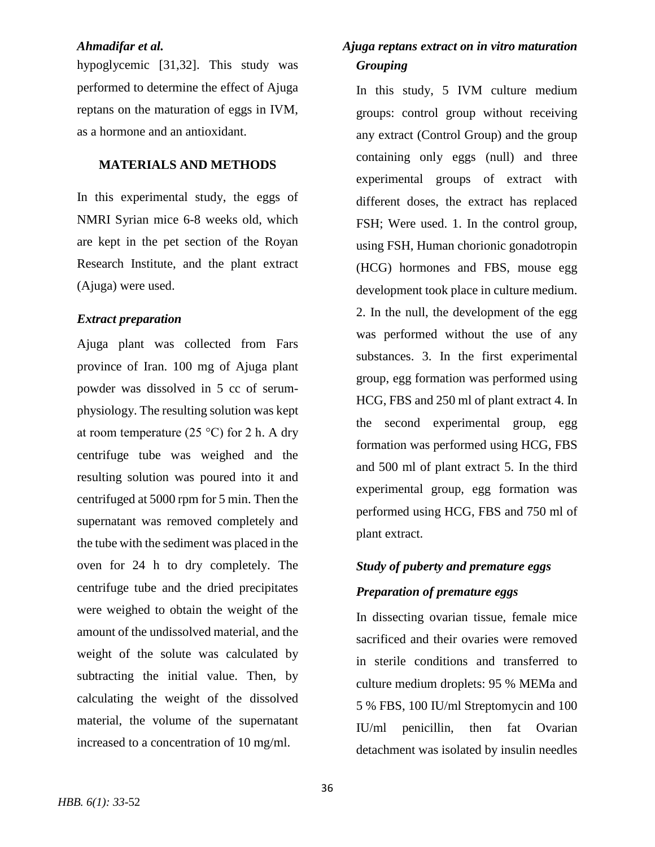hypoglycemic [31,32]. This study was performed to determine the effect of Ajuga reptans on the maturation of eggs in IVM, as a hormone and an antioxidant.

### **MATERIALS AND METHODS**

In this experimental study, the eggs of NMRI Syrian mice 6-8 weeks old, which are kept in the pet section of the Royan Research Institute, and the plant extract (Ajuga) were used.

### *Extract preparation*

Ajuga plant was collected from Fars province of Iran. 100 mg of Ajuga plant powder was dissolved in 5 cc of serumphysiology. The resulting solution was kept at room temperature  $(25 \degree C)$  for 2 h. A dry centrifuge tube was weighed and the resulting solution was poured into it and centrifuged at 5000 rpm for 5 min. Then the supernatant was removed completely and the tube with the sediment was placed in the oven for 24 h to dry completely. The centrifuge tube and the dried precipitates were weighed to obtain the weight of the amount of the undissolved material, and the weight of the solute was calculated by subtracting the initial value. Then, by calculating the weight of the dissolved material, the volume of the supernatant increased to a concentration of 10 mg/ml.

## *Ahmadifar et al. Ajuga reptans extract on in vitro maturation Grouping*

In this study, 5 IVM culture medium groups: control group without receiving any extract (Control Group) and the group containing only eggs (null) and three experimental groups of extract with different doses, the extract has replaced FSH; Were used. 1. In the control group, using FSH, Human chorionic gonadotropin (HCG) hormones and FBS, mouse egg development took place in culture medium. 2. In the null, the development of the egg was performed without the use of any substances. 3. In the first experimental group, egg formation was performed using HCG, FBS and 250 ml of plant extract 4. In the second experimental group, egg formation was performed using HCG, FBS and 500 ml of plant extract 5. In the third experimental group, egg formation was performed using HCG, FBS and 750 ml of plant extract.

# *Study of puberty and premature eggs Preparation of premature eggs*

In dissecting ovarian tissue, female mice sacrificed and their ovaries were removed in sterile conditions and transferred to culture medium droplets: 95 % MEMa and 5 % FBS, 100 IU/ml Streptomycin and 100 IU/ml penicillin, then fat Ovarian detachment was isolated by insulin needles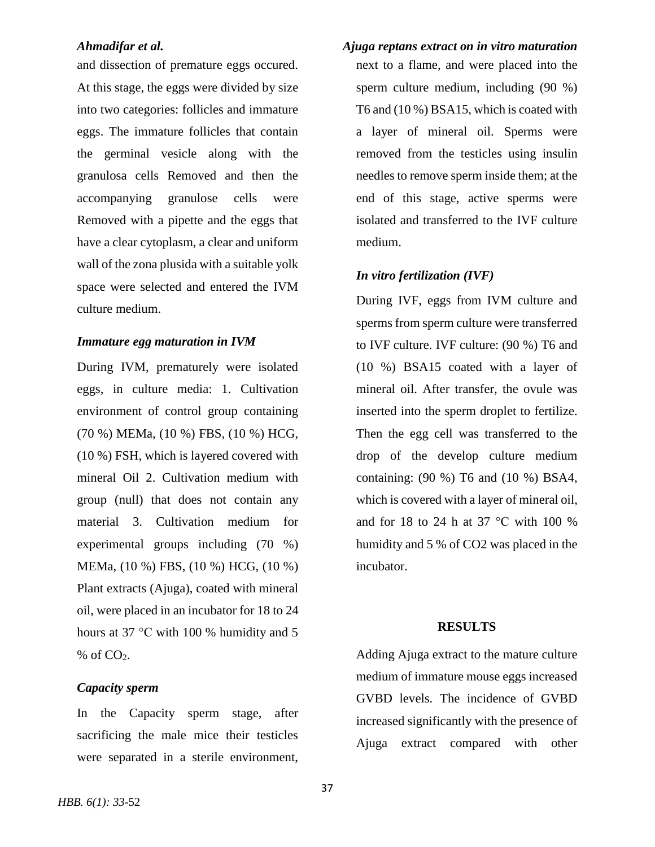and dissection of premature eggs occured. At this stage, the eggs were divided by size into two categories: follicles and immature eggs. The immature follicles that contain the germinal vesicle along with the granulosa cells Removed and then the accompanying granulose cells were Removed with a pipette and the eggs that have a clear cytoplasm, a clear and uniform wall of the zona plusida with a suitable yolk space were selected and entered the IVM culture medium.

### *Immature egg maturation in IVM*

During IVM, prematurely were isolated eggs, in culture media: 1. Cultivation environment of control group containing (70 %) MEMa, (10 %) FBS, (10 %) HCG, (10 %) FSH, which is layered covered with mineral Oil 2. Cultivation medium with group (null) that does not contain any material 3. Cultivation medium for experimental groups including (70 %) MEMa, (10 %) FBS, (10 %) HCG, (10 %) Plant extracts (Ajuga), coated with mineral oil, were placed in an incubator for 18 to 24 hours at 37 °C with 100 % humidity and 5  $%$  of  $CO<sub>2</sub>$ .

### *Capacity sperm*

In the Capacity sperm stage, after sacrificing the male mice their testicles were separated in a sterile environment,

*Ahmadifar et al. Ajuga reptans extract on in vitro maturation*  next to a flame, and were placed into the sperm culture medium, including (90 %) T6 and (10 %) BSA15, which is coated with a layer of mineral oil. Sperms were removed from the testicles using insulin needles to remove sperm inside them; at the end of this stage, active sperms were isolated and transferred to the IVF culture medium.

### *In vitro fertilization (IVF)*

During IVF, eggs from IVM culture and sperms from sperm culture were transferred to IVF culture. IVF culture: (90 %) T6 and (10 %) BSA15 coated with a layer of mineral oil. After transfer, the ovule was inserted into the sperm droplet to fertilize. Then the egg cell was transferred to the drop of the develop culture medium containing: (90 %) T6 and (10 %) BSA4, which is covered with a layer of mineral oil, and for 18 to 24 h at 37 °C with 100 % humidity and 5 % of CO2 was placed in the incubator.

### **RESULTS**

Adding Ajuga extract to the mature culture medium of immature mouse eggs increased GVBD levels. The incidence of GVBD increased significantly with the presence of Ajuga extract compared with other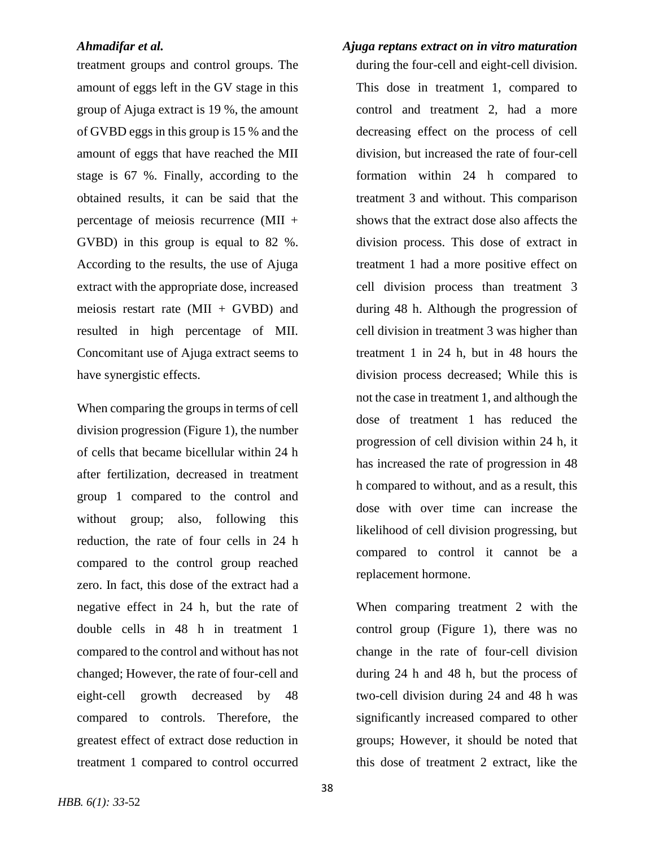treatment groups and control groups. The amount of eggs left in the GV stage in this group of Ajuga extract is 19 %, the amount of GVBD eggs in this group is 15 % and the amount of eggs that have reached the MII stage is 67 %. Finally, according to the obtained results, it can be said that the percentage of meiosis recurrence (MII + GVBD) in this group is equal to 82 %. According to the results, the use of Ajuga extract with the appropriate dose, increased meiosis restart rate  $(MII + GVBD)$  and resulted in high percentage of MII. Concomitant use of Ajuga extract seems to have synergistic effects.

When comparing the groups in terms of cell division progression (Figure 1), the number of cells that became bicellular within 24 h after fertilization, decreased in treatment group 1 compared to the control and without group; also, following this reduction, the rate of four cells in 24 h compared to the control group reached zero. In fact, this dose of the extract had a negative effect in 24 h, but the rate of double cells in 48 h in treatment 1 compared to the control and without has not changed; However, the rate of four-cell and eight-cell growth decreased by 48 compared to controls. Therefore, the greatest effect of extract dose reduction in treatment 1 compared to control occurred

during the four-cell and eight-cell division. This dose in treatment 1, compared to control and treatment 2, had a more decreasing effect on the process of cell division, but increased the rate of four-cell formation within 24 h compared to treatment 3 and without. This comparison shows that the extract dose also affects the division process. This dose of extract in treatment 1 had a more positive effect on cell division process than treatment 3 during 48 h. Although the progression of cell division in treatment 3 was higher than treatment 1 in 24 h, but in 48 hours the division process decreased; While this is not the case in treatment 1, and although the dose of treatment 1 has reduced the progression of cell division within 24 h, it has increased the rate of progression in 48 h compared to without, and as a result, this dose with over time can increase the likelihood of cell division progressing, but compared to control it cannot be a replacement hormone.

When comparing treatment 2 with the control group (Figure 1), there was no change in the rate of four-cell division during 24 h and 48 h, but the process of two-cell division during 24 and 48 h was significantly increased compared to other groups; However, it should be noted that this dose of treatment 2 extract, like the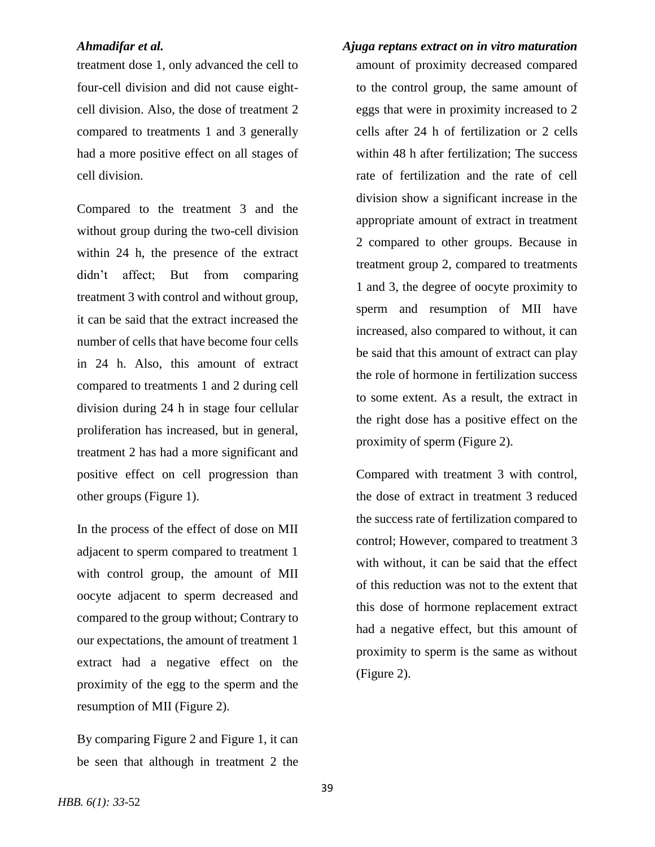treatment dose 1, only advanced the cell to four-cell division and did not cause eightcell division. Also, the dose of treatment 2 compared to treatments 1 and 3 generally had a more positive effect on all stages of cell division.

Compared to the treatment 3 and the without group during the two-cell division within 24 h, the presence of the extract didn't affect; But from comparing treatment 3 with control and without group, it can be said that the extract increased the number of cells that have become four cells in 24 h. Also, this amount of extract compared to treatments 1 and 2 during cell division during 24 h in stage four cellular proliferation has increased, but in general, treatment 2 has had a more significant and positive effect on cell progression than other groups (Figure 1).

In the process of the effect of dose on MII adjacent to sperm compared to treatment 1 with control group, the amount of MII oocyte adjacent to sperm decreased and compared to the group without; Contrary to our expectations, the amount of treatment 1 extract had a negative effect on the proximity of the egg to the sperm and the resumption of MII (Figure 2).

By comparing Figure 2 and Figure 1, it can be seen that although in treatment 2 the

*Ahmadifar et al. Ajuga reptans extract on in vitro maturation*  amount of proximity decreased compared to the control group, the same amount of eggs that were in proximity increased to 2 cells after 24 h of fertilization or 2 cells within 48 h after fertilization; The success rate of fertilization and the rate of cell division show a significant increase in the appropriate amount of extract in treatment 2 compared to other groups. Because in treatment group 2, compared to treatments 1 and 3, the degree of oocyte proximity to sperm and resumption of MII have increased, also compared to without, it can be said that this amount of extract can play the role of hormone in fertilization success to some extent. As a result, the extract in the right dose has a positive effect on the proximity of sperm (Figure 2).

> Compared with treatment 3 with control, the dose of extract in treatment 3 reduced the success rate of fertilization compared to control; However, compared to treatment 3 with without, it can be said that the effect of this reduction was not to the extent that this dose of hormone replacement extract had a negative effect, but this amount of proximity to sperm is the same as without (Figure 2).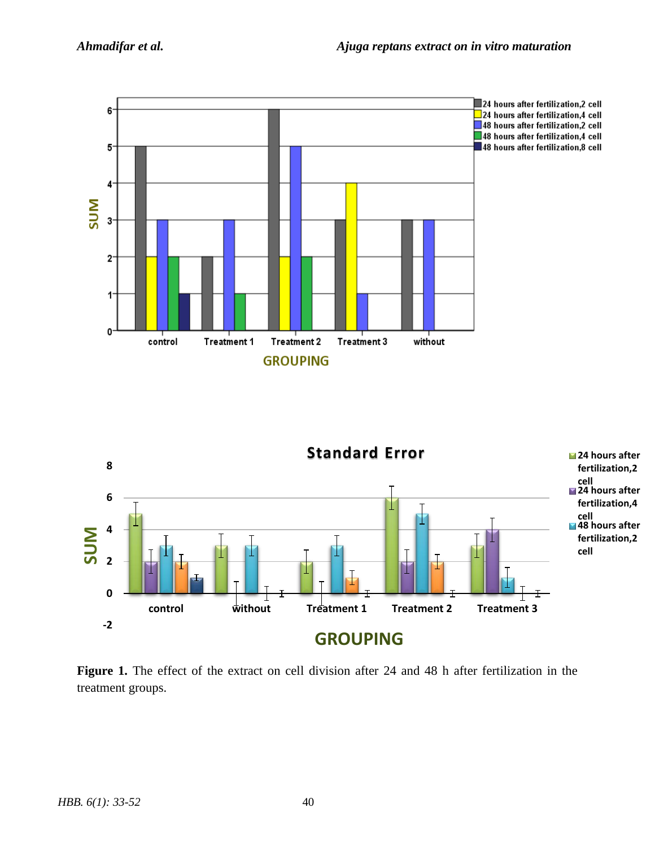



**Figure 1.** The effect of the extract on cell division after 24 and 48 h after fertilization in the treatment groups.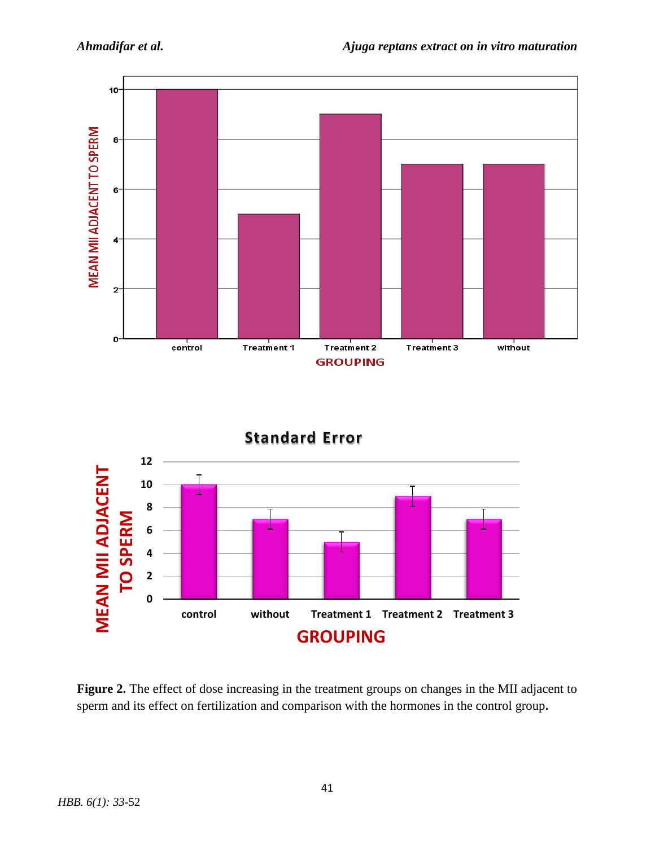



**Figure 2.** The effect of dose increasing in the treatment groups on changes in the MII adjacent to sperm and its effect on fertilization and comparison with the hormones in the control group**.**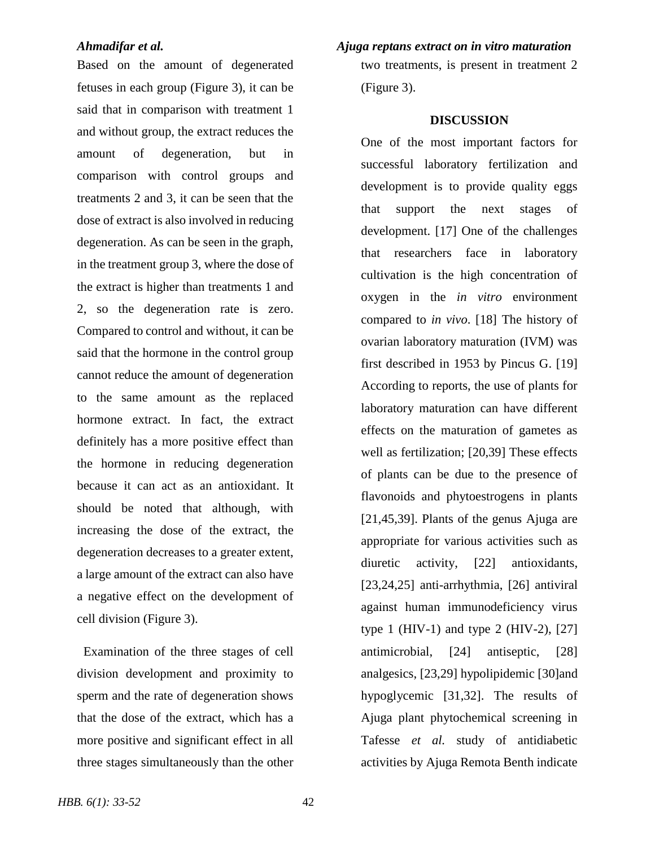Based on the amount of degenerated fetuses in each group (Figure 3), it can be said that in comparison with treatment 1 and without group, the extract reduces the amount of degeneration, but in comparison with control groups and treatments 2 and 3, it can be seen that the dose of extract is also involved in reducing degeneration. As can be seen in the graph, in the treatment group 3, where the dose of the extract is higher than treatments 1 and 2, so the degeneration rate is zero. Compared to control and without, it can be said that the hormone in the control group cannot reduce the amount of degeneration to the same amount as the replaced hormone extract. In fact, the extract definitely has a more positive effect than the hormone in reducing degeneration because it can act as an antioxidant. It should be noted that although, with increasing the dose of the extract, the degeneration decreases to a greater extent, a large amount of the extract can also have a negative effect on the development of cell division (Figure 3).

 Examination of the three stages of cell division development and proximity to sperm and the rate of degeneration shows that the dose of the extract, which has a more positive and significant effect in all three stages simultaneously than the other

### *Ahmadifar et al. Ajuga reptans extract on in vitro maturation*

two treatments, is present in treatment 2 (Figure 3).

### **DISCUSSION**

One of the most important factors for successful laboratory fertilization and development is to provide quality eggs that support the next stages of development. [17] One of the challenges that researchers face in laboratory cultivation is the high concentration of oxygen in the *in vitro* environment compared to *in vivo*. [18] The history of ovarian laboratory maturation (IVM) was first described in 1953 by Pincus G. [19] According to reports, the use of plants for laboratory maturation can have different effects on the maturation of gametes as well as fertilization; [20,39] These effects of plants can be due to the presence of flavonoids and phytoestrogens in plants [21,45,39]. Plants of the genus Ajuga are appropriate for various activities such as diuretic activity, [22] antioxidants, [23,24,25] anti-arrhythmia, [26] antiviral against human immunodeficiency virus type 1 (HIV-1) and type 2 (HIV-2), [27] antimicrobial, [24] antiseptic, [28] analgesics, [23,29] hypolipidemic [30]and hypoglycemic [31,32]. The results of Ajuga plant phytochemical screening in Tafesse *et al.* study of antidiabetic activities by Ajuga Remota Benth indicate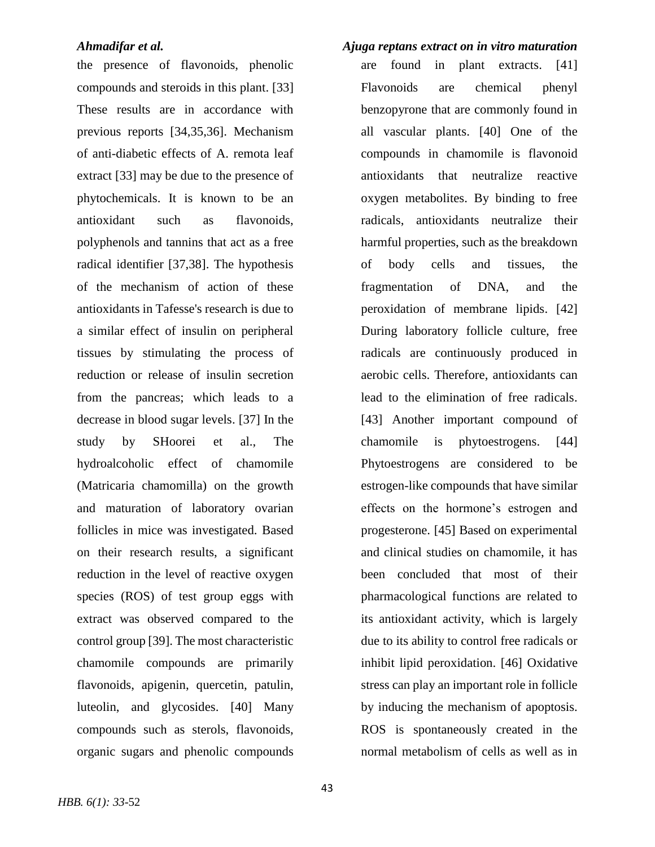the presence of flavonoids, phenolic compounds and steroids in this plant. [33] These results are in accordance with previous reports [34,35,36]. Mechanism of anti-diabetic effects of A. remota leaf extract [33] may be due to the presence of phytochemicals. It is known to be an antioxidant such as flavonoids, polyphenols and tannins that act as a free radical identifier [37,38]. The hypothesis of the mechanism of action of these antioxidants in Tafesse's research is due to a similar effect of insulin on peripheral tissues by stimulating the process of reduction or release of insulin secretion from the pancreas; which leads to a decrease in blood sugar levels. [37] In the study by SHoorei et al., The hydroalcoholic effect of chamomile (Matricaria chamomilla) on the growth and maturation of laboratory ovarian follicles in mice was investigated. Based on their research results, a significant reduction in the level of reactive oxygen species (ROS) of test group eggs with extract was observed compared to the control group [39]. The most characteristic chamomile compounds are primarily flavonoids, apigenin, quercetin, patulin, luteolin, and glycosides. [40] Many compounds such as sterols, flavonoids, organic sugars and phenolic compounds

are found in plant extracts. [41] Flavonoids are chemical phenyl benzopyrone that are commonly found in all vascular plants. [40] One of the compounds in chamomile is flavonoid antioxidants that neutralize reactive oxygen metabolites. By binding to free radicals, antioxidants neutralize their harmful properties, such as the breakdown of body cells and tissues, the fragmentation of DNA, and the peroxidation of membrane lipids. [42] During laboratory follicle culture, free radicals are continuously produced in aerobic cells. Therefore, antioxidants can lead to the elimination of free radicals. [43] Another important compound of chamomile is phytoestrogens. [44] Phytoestrogens are considered to be estrogen-like compounds that have similar effects on the hormone's estrogen and progesterone. [45] Based on experimental and clinical studies on chamomile, it has been concluded that most of their pharmacological functions are related to its antioxidant activity, which is largely due to its ability to control free radicals or inhibit lipid peroxidation. [46] Oxidative stress can play an important role in follicle by inducing the mechanism of apoptosis. ROS is spontaneously created in the normal metabolism of cells as well as in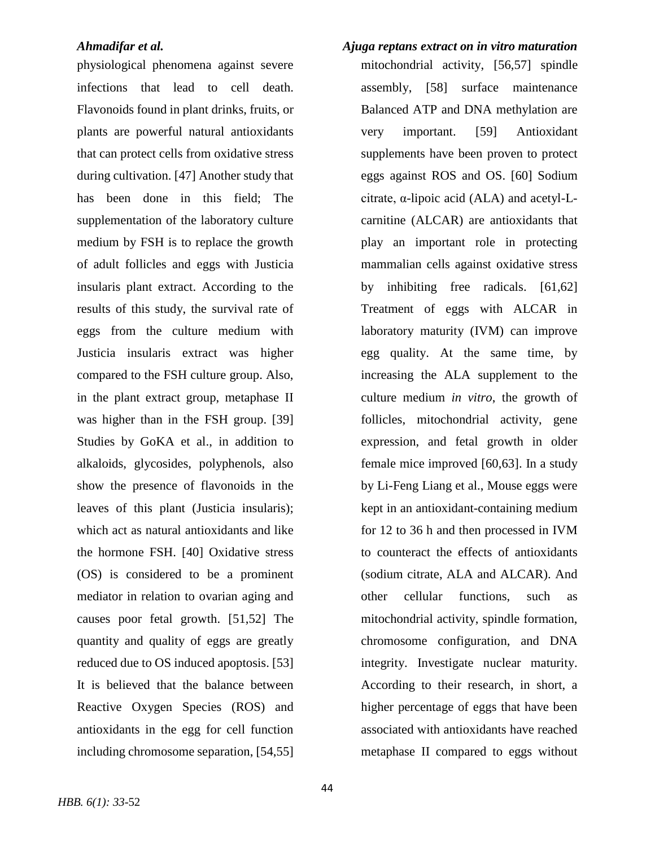physiological phenomena against severe infections that lead to cell death. Flavonoids found in plant drinks, fruits, or plants are powerful natural antioxidants that can protect cells from oxidative stress during cultivation. [47] Another study that has been done in this field; The supplementation of the laboratory culture medium by FSH is to replace the growth of adult follicles and eggs with Justicia insularis plant extract. According to the results of this study, the survival rate of eggs from the culture medium with Justicia insularis extract was higher compared to the FSH culture group. Also, in the plant extract group, metaphase II was higher than in the FSH group. [39] Studies by GoKA et al., in addition to alkaloids, glycosides, polyphenols, also show the presence of flavonoids in the leaves of this plant (Justicia insularis); which act as natural antioxidants and like the hormone FSH. [40] Oxidative stress (OS) is considered to be a prominent mediator in relation to ovarian aging and causes poor fetal growth. [51,52] The quantity and quality of eggs are greatly reduced due to OS induced apoptosis. [53] It is believed that the balance between Reactive Oxygen Species (ROS) and antioxidants in the egg for cell function including chromosome separation, [54,55]

mitochondrial activity, [56,57] spindle assembly, [58] surface maintenance Balanced ATP and DNA methylation are very important. [59] Antioxidant supplements have been proven to protect eggs against ROS and OS. [60] Sodium citrate, α-lipoic acid (ALA) and acetyl-Lcarnitine (ALCAR) are antioxidants that play an important role in protecting mammalian cells against oxidative stress by inhibiting free radicals. [61,62] Treatment of eggs with ALCAR in laboratory maturity (IVM) can improve egg quality. At the same time, by increasing the ALA supplement to the culture medium *in vitro*, the growth of follicles, mitochondrial activity, gene expression, and fetal growth in older female mice improved [60,63]. In a study by Li-Feng Liang et al., Mouse eggs were kept in an antioxidant-containing medium for 12 to 36 h and then processed in IVM to counteract the effects of antioxidants (sodium citrate, ALA and ALCAR). And other cellular functions, such as mitochondrial activity, spindle formation, chromosome configuration, and DNA integrity. Investigate nuclear maturity. According to their research, in short, a higher percentage of eggs that have been associated with antioxidants have reached metaphase II compared to eggs without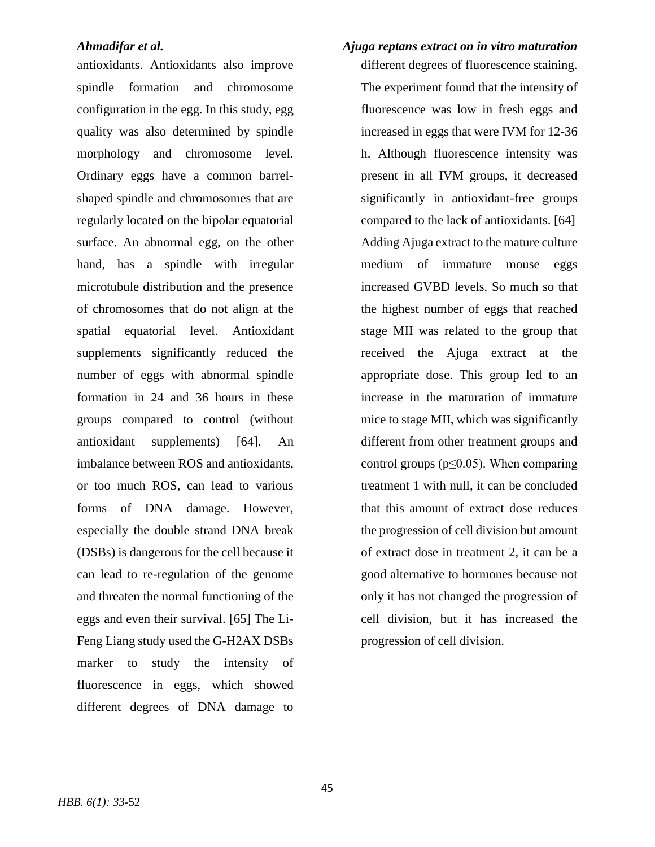antioxidants. Antioxidants also improve spindle formation and chromosome configuration in the egg. In this study, egg quality was also determined by spindle morphology and chromosome level. Ordinary eggs have a common barrelshaped spindle and chromosomes that are regularly located on the bipolar equatorial surface. An abnormal egg, on the other hand, has a spindle with irregular microtubule distribution and the presence of chromosomes that do not align at the spatial equatorial level. Antioxidant supplements significantly reduced the number of eggs with abnormal spindle formation in 24 and 36 hours in these groups compared to control (without antioxidant supplements) [64]. An imbalance between ROS and antioxidants, or too much ROS, can lead to various forms of DNA damage. However, especially the double strand DNA break (DSBs) is dangerous for the cell because it can lead to re-regulation of the genome and threaten the normal functioning of the eggs and even their survival. [65] The Li-Feng Liang study used the G-H2AX DSBs marker to study the intensity of fluorescence in eggs, which showed different degrees of DNA damage to

# *Ahmadifar et al. Ajuga reptans extract on in vitro maturation*  different degrees of fluorescence staining. The experiment found that the intensity of fluorescence was low in fresh eggs and increased in eggs that were IVM for 12-36 h. Although fluorescence intensity was present in all IVM groups, it decreased significantly in antioxidant-free groups compared to the lack of antioxidants. [64] Adding Ajuga extract to the mature culture medium of immature mouse eggs increased GVBD levels. So much so that the highest number of eggs that reached stage MII was related to the group that received the Ajuga extract at the appropriate dose. This group led to an increase in the maturation of immature mice to stage MII, which was significantly different from other treatment groups and control groups ( $p \le 0.05$ ). When comparing treatment 1 with null, it can be concluded that this amount of extract dose reduces the progression of cell division but amount of extract dose in treatment 2, it can be a good alternative to hormones because not only it has not changed the progression of cell division, but it has increased the progression of cell division.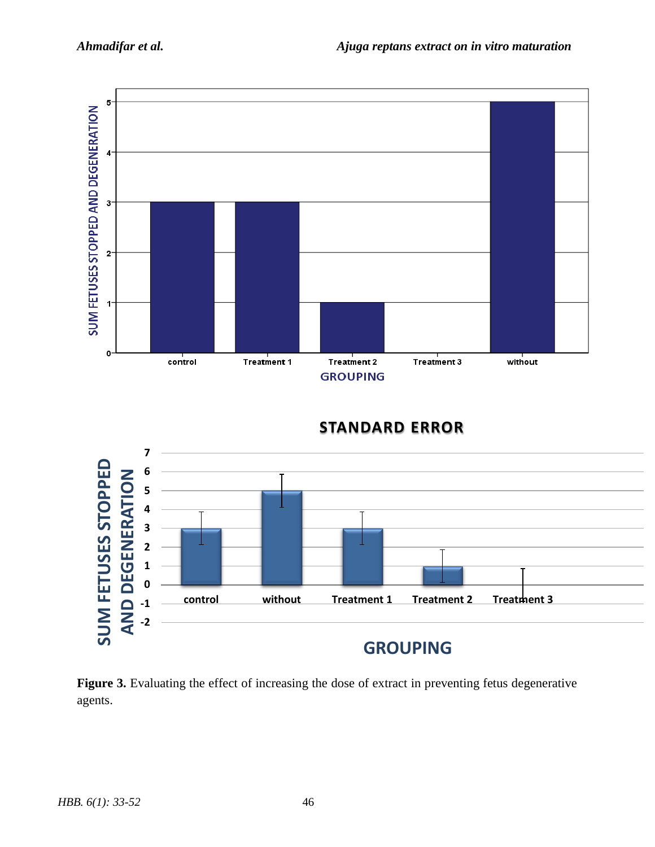

# **STANDARD ERROR**



Figure 3. Evaluating the effect of increasing the dose of extract in preventing fetus degenerative agents.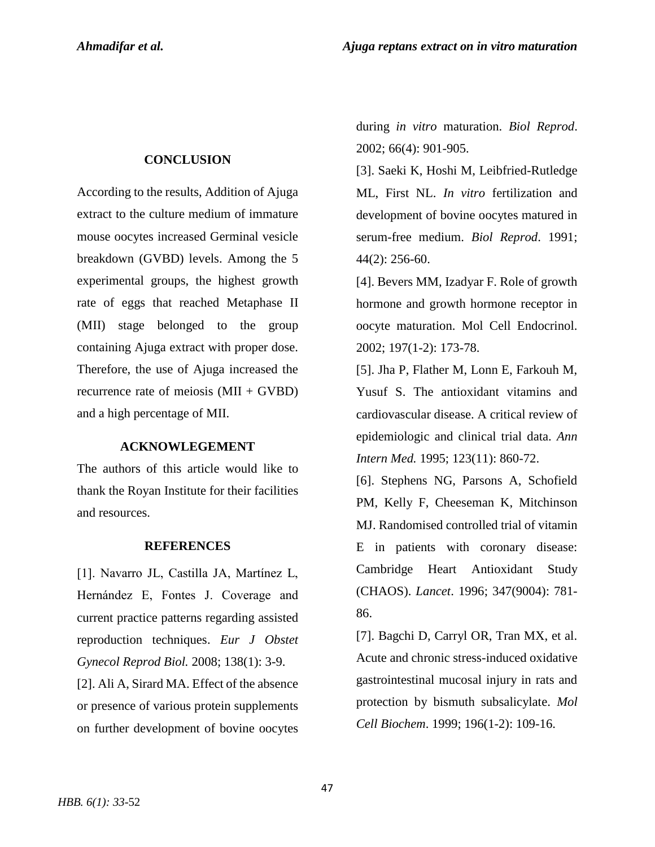### **CONCLUSION**

According to the results, Addition of Ajuga extract to the culture medium of immature mouse oocytes increased Germinal vesicle breakdown (GVBD) levels. Among the 5 experimental groups, the highest growth rate of eggs that reached Metaphase II (MII) stage belonged to the group containing Ajuga extract with proper dose. Therefore, the use of Ajuga increased the recurrence rate of meiosis (MII + GVBD) and a high percentage of MII.

### **ACKNOWLEGEMENT**

The authors of this article would like to thank the Royan Institute for their facilities and resources.

### **REFERENCES**

[1]. Navarro JL, Castilla JA, Martínez L, Hernández E, Fontes J. Coverage and current practice patterns regarding assisted reproduction techniques. *Eur J Obstet Gynecol Reprod Biol.* 2008; 138(1): 3-9.

[2]. Ali A, Sirard MA. Effect of the absence or presence of various protein supplements on further development of bovine oocytes

during *in vitro* maturation. *Biol Reprod*. 2002; 66(4): 901-905.

[3]. Saeki K, Hoshi M, Leibfried-Rutledge ML, First NL. *In vitro* fertilization and development of bovine oocytes matured in serum-free medium. *Biol Reprod*. 1991; 44(2): 256-60.

[4]. Bevers MM, Izadyar F. Role of growth hormone and growth hormone receptor in oocyte maturation. Mol Cell Endocrinol. 2002; 197(1-2): 173-78.

[5]. Jha P, Flather M, Lonn E, Farkouh M, Yusuf S. The antioxidant vitamins and cardiovascular disease. A critical review of epidemiologic and clinical trial data. *Ann Intern Med.* 1995; 123(11): 860-72.

[6]. Stephens NG, Parsons A, Schofield PM, Kelly F, Cheeseman K, Mitchinson MJ. Randomised controlled trial of vitamin E in patients with coronary disease: Cambridge Heart Antioxidant Study (CHAOS). *Lancet*. 1996; 347(9004): 781- 86.

[7]. Bagchi D, Carryl OR, Tran MX, et al. Acute and chronic stress-induced oxidative gastrointestinal mucosal injury in rats and protection by bismuth subsalicylate. *Mol Cell Biochem*. 1999; 196(1-2): 109-16.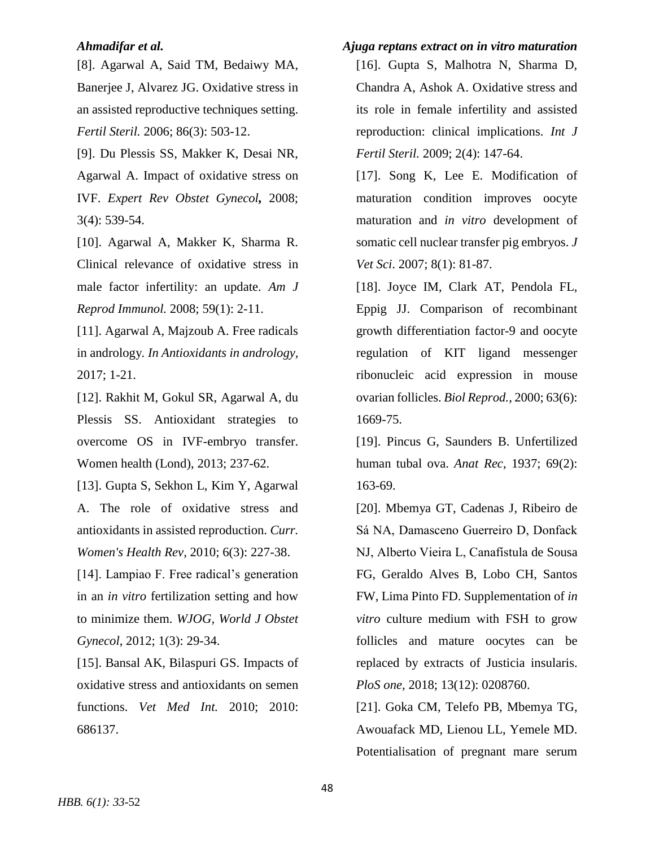[8]. Agarwal A, Said TM, Bedaiwy MA, Banerjee J, Alvarez JG. Oxidative stress in an assisted reproductive techniques setting. *Fertil Steril.* 2006; 86(3): 503-12.

[9]. Du Plessis SS, Makker K, Desai NR, Agarwal A. Impact of oxidative stress on IVF. *Expert Rev Obstet Gynecol,* 2008; 3(4): 539-54.

[10]. Agarwal A, Makker K, Sharma R. Clinical relevance of oxidative stress in male factor infertility: an update. *Am J Reprod Immunol.* 2008; 59(1): 2-11.

[11]. Agarwal A, Majzoub A. Free radicals in andrology*. In Antioxidants in andrology,* 2017; 1-21.

[12]. Rakhit M, Gokul SR, Agarwal A, du Plessis SS. Antioxidant strategies to overcome OS in IVF-embryo transfer. Women health (Lond), 2013; 237-62.

[13]. Gupta S, Sekhon L, Kim Y, Agarwal A. The role of oxidative stress and antioxidants in assisted reproduction. *Curr. Women's Health Rev,* 2010; 6(3): 227-38.

[14]. Lampiao F. Free radical's generation in an *in vitro* fertilization setting and how to minimize them. *WJOG, World J Obstet Gynecol*, 2012; 1(3): 29-34.

[15]. Bansal AK, Bilaspuri GS. Impacts of oxidative stress and antioxidants on semen functions. *Vet Med Int.* 2010; 2010: 686137.

*Ahmadifar et al. Ajuga reptans extract on in vitro maturation*  [16]. Gupta S, Malhotra N, Sharma D, Chandra A, Ashok A. Oxidative stress and its role in female infertility and assisted reproduction: clinical implications. *Int J Fertil Steril.* 2009; 2(4): 147-64.

> [17]. Song K, Lee E. Modification of maturation condition improves oocyte maturation and *in vitro* development of somatic cell nuclear transfer pig embryos. *J Vet Sci*. 2007; 8(1): 81-87.

> [18]. Joyce IM, Clark AT, Pendola FL, Eppig JJ. Comparison of recombinant growth differentiation factor-9 and oocyte regulation of KIT ligand messenger ribonucleic acid expression in mouse ovarian follicles. *Biol Reprod.,* 2000; 63(6): 1669-75.

> [19]. Pincus G, Saunders B. Unfertilized human tubal ova. *Anat Rec*, 1937; 69(2): 163-69.

> [20]. Mbemya GT, Cadenas J, Ribeiro de Sá NA, Damasceno Guerreiro D, Donfack NJ, Alberto Vieira L, Canafístula de Sousa FG, Geraldo Alves B, Lobo CH, Santos FW, Lima Pinto FD. Supplementation of *in vitro* culture medium with FSH to grow follicles and mature oocytes can be replaced by extracts of Justicia insularis. *PloS one,* 2018; 13(12): 0208760.

> [21]. Goka CM, Telefo PB, Mbemya TG, Awouafack MD, Lienou LL, Yemele MD. Potentialisation of pregnant mare serum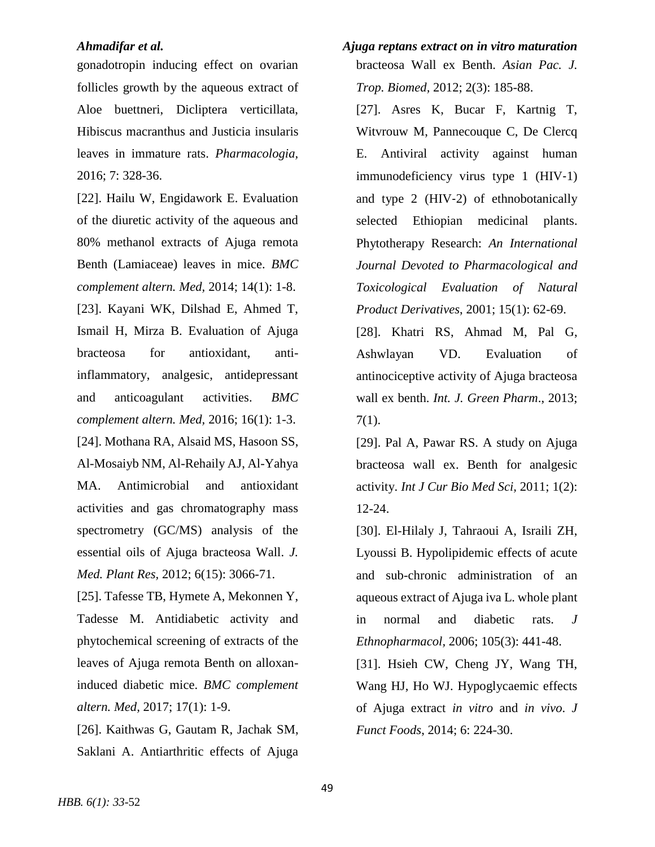gonadotropin inducing effect on ovarian follicles growth by the aqueous extract of Aloe buettneri, Dicliptera verticillata, Hibiscus macranthus and Justicia insularis leaves in immature rats. *Pharmacologia,* 2016; 7: 328-36.

[22]. Hailu W, Engidawork E. Evaluation of the diuretic activity of the aqueous and 80% methanol extracts of Ajuga remota Benth (Lamiaceae) leaves in mice. *BMC complement altern. Med,* 2014; 14(1): 1-8. [23]. Kayani WK, Dilshad E, Ahmed T, Ismail H, Mirza B. Evaluation of Ajuga bracteosa for antioxidant, antiinflammatory, analgesic, antidepressant and anticoagulant activities. *BMC complement altern. Med,* 2016; 16(1): 1-3. [24]. Mothana RA, Alsaid MS, Hasoon SS, Al-Mosaiyb NM, Al-Rehaily AJ, Al-Yahya MA. Antimicrobial and antioxidant activities and gas chromatography mass spectrometry (GC/MS) analysis of the essential oils of Ajuga bracteosa Wall. *J. Med. Plant Res,* 2012; 6(15): 3066-71.

[25]. Tafesse TB, Hymete A, Mekonnen Y, Tadesse M. Antidiabetic activity and phytochemical screening of extracts of the leaves of Ajuga remota Benth on alloxaninduced diabetic mice. *BMC complement altern. Med,* 2017; 17(1): 1-9.

[26]. Kaithwas G, Gautam R, Jachak SM, Saklani A. Antiarthritic effects of Ajuga

- *Ahmadifar et al. Ajuga reptans extract on in vitro maturation*  bracteosa Wall ex Benth. *Asian Pac. J. Trop. Biomed,* 2012; 2(3): 185-88.
	- [27]. Asres K, Bucar F, Kartnig T, Witvrouw M, Pannecouque C, De Clercq E. Antiviral activity against human immunodeficiency virus type 1 (HIV‐1) and type 2 (HIV‐2) of ethnobotanically selected Ethiopian medicinal plants. Phytotherapy Research: *An International Journal Devoted to Pharmacological and Toxicological Evaluation of Natural Product Derivatives*, 2001; 15(1): 62-69.
	- [28]. Khatri RS, Ahmad M, Pal G, Ashwlayan VD. Evaluation of antinociceptive activity of Ajuga bracteosa wall ex benth. *Int. J. Green Pharm*., 2013; 7(1).
	- [29]. Pal A, Pawar RS. A study on Ajuga bracteosa wall ex. Benth for analgesic activity. *Int J Cur Bio Med Sci,* 2011; 1(2): 12-24.

[30]. El-Hilaly J, Tahraoui A, Israili ZH, Lyoussi B. Hypolipidemic effects of acute and sub-chronic administration of an aqueous extract of Ajuga iva L. whole plant in normal and diabetic rats. *J Ethnopharmacol,* 2006; 105(3): 441-48.

[31]. Hsieh CW, Cheng JY, Wang TH, Wang HJ, Ho WJ. Hypoglycaemic effects of Ajuga extract *in vitro* and *in vivo*. *J Funct Foods*, 2014; 6: 224-30.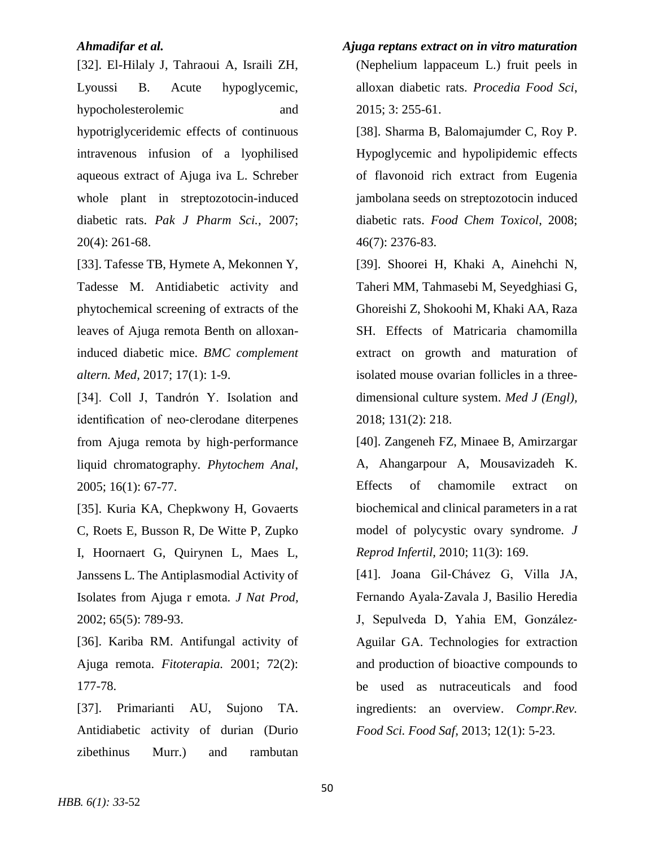[32]. El-Hilaly J, Tahraoui A, Israili ZH, Lyoussi B. Acute hypoglycemic, hypocholesterolemic and hypotriglyceridemic effects of continuous intravenous infusion of a lyophilised aqueous extract of Ajuga iva L. Schreber whole plant in streptozotocin-induced diabetic rats. *Pak J Pharm Sci.,* 2007; 20(4): 261-68.

[33]. Tafesse TB, Hymete A, Mekonnen Y, Tadesse M. Antidiabetic activity and phytochemical screening of extracts of the leaves of Ajuga remota Benth on alloxaninduced diabetic mice. *BMC complement altern. Med,* 2017; 17(1): 1-9.

[34]. Coll J, Tandrón Y. Isolation and identification of neo‐clerodane diterpenes from Ajuga remota by high‐performance liquid chromatography. *Phytochem Anal*, 2005; 16(1): 67-77.

[35]. Kuria KA, Chepkwony H, Govaerts C, Roets E, Busson R, De Witte P, Zupko I, Hoornaert G, Quirynen L, Maes L, Janssens L. The Antiplasmodial Activity of Isolates from Ajuga r emota*. J Nat Prod,* 2002; 65(5): 789-93.

[36]. Kariba RM. Antifungal activity of Ajuga remota. *Fitoterapia.* 2001; 72(2): 177-78.

[37]. Primarianti AU, Sujono TA. Antidiabetic activity of durian (Durio zibethinus Murr.) and rambutan

*Ahmadifar et al. Ajuga reptans extract on in vitro maturation*  (Nephelium lappaceum L.) fruit peels in alloxan diabetic rats. *Procedia Food Sci*, 2015; 3: 255-61.

> [38]. Sharma B, Balomajumder C, Roy P. Hypoglycemic and hypolipidemic effects of flavonoid rich extract from Eugenia jambolana seeds on streptozotocin induced diabetic rats. *Food Chem Toxicol*, 2008; 46(7): 2376-83.

> [39]. Shoorei H, Khaki A, Ainehchi N, Taheri MM, Tahmasebi M, Seyedghiasi G, Ghoreishi Z, Shokoohi M, Khaki AA, Raza SH. Effects of Matricaria chamomilla extract on growth and maturation of isolated mouse ovarian follicles in a threedimensional culture system. *Med J (Engl),* 2018; 131(2): 218.

> [40]. Zangeneh FZ, Minaee B, Amirzargar A, Ahangarpour A, Mousavizadeh K. Effects of chamomile extract on biochemical and clinical parameters in a rat model of polycystic ovary syndrome. *J Reprod Infertil,* 2010; 11(3): 169.

> [41]. Joana Gil‐Chávez G, Villa JA, Fernando Ayala‐Zavala J, Basilio Heredia J, Sepulveda D, Yahia EM, González‐ Aguilar GA. Technologies for extraction and production of bioactive compounds to be used as nutraceuticals and food ingredients: an overview. *Compr.Rev. Food Sci. Food Saf,* 2013; 12(1): 5-23.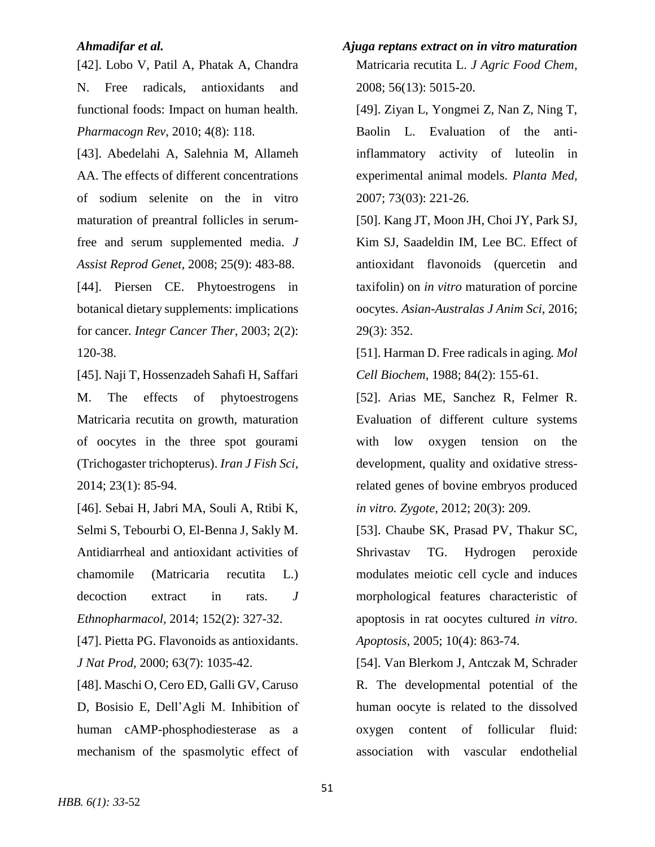[42]. Lobo V, Patil A, Phatak A, Chandra N. Free radicals, antioxidants and functional foods: Impact on human health. *Pharmacogn Rev*, 2010; 4(8): 118.

[43]. Abedelahi A, Salehnia M, Allameh AA. The effects of different concentrations of sodium selenite on the in vitro maturation of preantral follicles in serumfree and serum supplemented media. *J Assist Reprod Genet*, 2008; 25(9): 483-88.

[44]. Piersen CE. Phytoestrogens in botanical dietary supplements: implications for cancer*. Integr Cancer Ther,* 2003; 2(2): 120-38.

[45]. Naji T, Hossenzadeh Sahafi H, Saffari M. The effects of phytoestrogens Matricaria recutita on growth, maturation of oocytes in the three spot gourami (Trichogaster trichopterus). *Iran J Fish Sci,* 2014; 23(1): 85-94.

[46]. Sebai H, Jabri MA, Souli A, Rtibi K, Selmi S, Tebourbi O, El-Benna J, Sakly M. Antidiarrheal and antioxidant activities of chamomile (Matricaria recutita L.) decoction extract in rats. *J Ethnopharmacol,* 2014; 152(2): 327-32.

[47]. Pietta PG. Flavonoids as antioxidants. *J Nat Prod,* 2000; 63(7): 1035-42.

[48]. Maschi O, Cero ED, Galli GV, Caruso D, Bosisio E, Dell'Agli M. Inhibition of human cAMP-phosphodiesterase as a mechanism of the spasmolytic effect of

*Ahmadifar et al. Ajuga reptans extract on in vitro maturation*  Matricaria recutita L. *J Agric Food Chem,* 2008; 56(13): 5015-20.

> [49]. Ziyan L, Yongmei Z, Nan Z, Ning T, Baolin L. Evaluation of the antiinflammatory activity of luteolin in experimental animal models. *Planta Med,* 2007; 73(03): 221-26.

> [50]. Kang JT, Moon JH, Choi JY, Park SJ, Kim SJ, Saadeldin IM, Lee BC. Effect of antioxidant flavonoids (quercetin and taxifolin) on *in vitro* maturation of porcine oocytes. *Asian-Australas J Anim Sci*, 2016; 29(3): 352.

> [51]. Harman D. Free radicals in aging*. Mol Cell Biochem,* 1988; 84(2): 155-61.

> [52]. Arias ME, Sanchez R, Felmer R. Evaluation of different culture systems with low oxygen tension on the development, quality and oxidative stressrelated genes of bovine embryos produced *in vitro. Zygote,* 2012; 20(3): 209.

> [53]. Chaube SK, Prasad PV, Thakur SC, Shrivastav TG. Hydrogen peroxide modulates meiotic cell cycle and induces morphological features characteristic of apoptosis in rat oocytes cultured *in vitro*. *Apoptosis*, 2005; 10(4): 863-74.

> [54]. Van Blerkom J, Antczak M, Schrader R. The developmental potential of the human oocyte is related to the dissolved oxygen content of follicular fluid: association with vascular endothelial